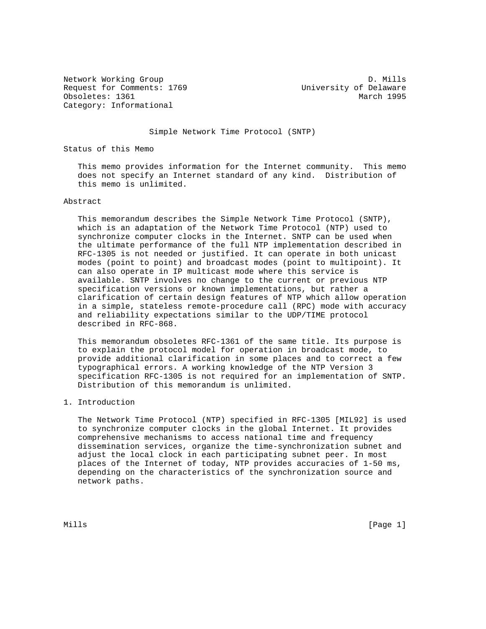Network Working Group D. Mills Request for Comments: 1769 University of Delaware Obsoletes: 1361 March 1995 Category: Informational

Simple Network Time Protocol (SNTP)

Status of this Memo

 This memo provides information for the Internet community. This memo does not specify an Internet standard of any kind. Distribution of this memo is unlimited.

# Abstract

 This memorandum describes the Simple Network Time Protocol (SNTP), which is an adaptation of the Network Time Protocol (NTP) used to synchronize computer clocks in the Internet. SNTP can be used when the ultimate performance of the full NTP implementation described in RFC-1305 is not needed or justified. It can operate in both unicast modes (point to point) and broadcast modes (point to multipoint). It can also operate in IP multicast mode where this service is available. SNTP involves no change to the current or previous NTP specification versions or known implementations, but rather a clarification of certain design features of NTP which allow operation in a simple, stateless remote-procedure call (RPC) mode with accuracy and reliability expectations similar to the UDP/TIME protocol described in RFC-868.

 This memorandum obsoletes RFC-1361 of the same title. Its purpose is to explain the protocol model for operation in broadcast mode, to provide additional clarification in some places and to correct a few typographical errors. A working knowledge of the NTP Version 3 specification RFC-1305 is not required for an implementation of SNTP. Distribution of this memorandum is unlimited.

## 1. Introduction

 The Network Time Protocol (NTP) specified in RFC-1305 [MIL92] is used to synchronize computer clocks in the global Internet. It provides comprehensive mechanisms to access national time and frequency dissemination services, organize the time-synchronization subnet and adjust the local clock in each participating subnet peer. In most places of the Internet of today, NTP provides accuracies of 1-50 ms, depending on the characteristics of the synchronization source and network paths.

Mills [Page 1]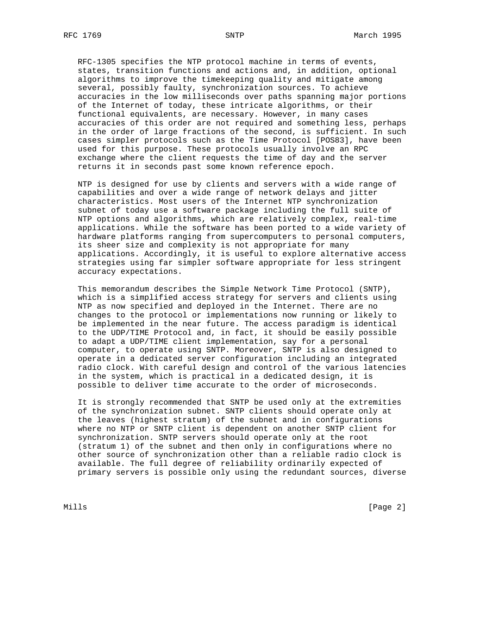RFC-1305 specifies the NTP protocol machine in terms of events, states, transition functions and actions and, in addition, optional algorithms to improve the timekeeping quality and mitigate among several, possibly faulty, synchronization sources. To achieve accuracies in the low milliseconds over paths spanning major portions of the Internet of today, these intricate algorithms, or their functional equivalents, are necessary. However, in many cases accuracies of this order are not required and something less, perhaps in the order of large fractions of the second, is sufficient. In such cases simpler protocols such as the Time Protocol [POS83], have been used for this purpose. These protocols usually involve an RPC exchange where the client requests the time of day and the server returns it in seconds past some known reference epoch.

 NTP is designed for use by clients and servers with a wide range of capabilities and over a wide range of network delays and jitter characteristics. Most users of the Internet NTP synchronization subnet of today use a software package including the full suite of NTP options and algorithms, which are relatively complex, real-time applications. While the software has been ported to a wide variety of hardware platforms ranging from supercomputers to personal computers, its sheer size and complexity is not appropriate for many applications. Accordingly, it is useful to explore alternative access strategies using far simpler software appropriate for less stringent accuracy expectations.

 This memorandum describes the Simple Network Time Protocol (SNTP), which is a simplified access strategy for servers and clients using NTP as now specified and deployed in the Internet. There are no changes to the protocol or implementations now running or likely to be implemented in the near future. The access paradigm is identical to the UDP/TIME Protocol and, in fact, it should be easily possible to adapt a UDP/TIME client implementation, say for a personal computer, to operate using SNTP. Moreover, SNTP is also designed to operate in a dedicated server configuration including an integrated radio clock. With careful design and control of the various latencies in the system, which is practical in a dedicated design, it is possible to deliver time accurate to the order of microseconds.

 It is strongly recommended that SNTP be used only at the extremities of the synchronization subnet. SNTP clients should operate only at the leaves (highest stratum) of the subnet and in configurations where no NTP or SNTP client is dependent on another SNTP client for synchronization. SNTP servers should operate only at the root (stratum 1) of the subnet and then only in configurations where no other source of synchronization other than a reliable radio clock is available. The full degree of reliability ordinarily expected of primary servers is possible only using the redundant sources, diverse

Mills **Example 2** and the contract of the contract of the contract of the contract of  $[$  Page 2  $]$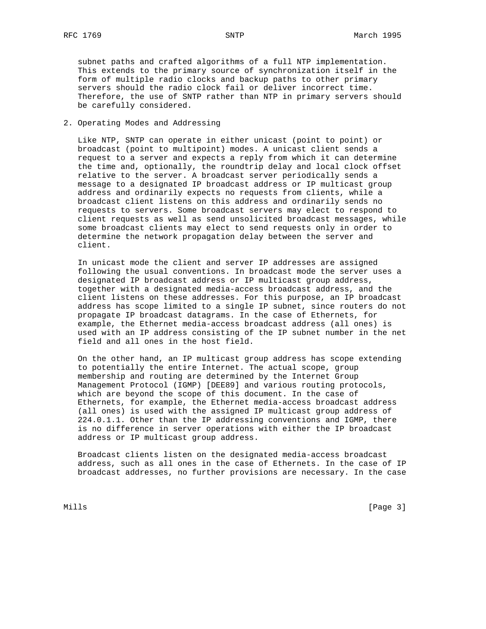subnet paths and crafted algorithms of a full NTP implementation. This extends to the primary source of synchronization itself in the form of multiple radio clocks and backup paths to other primary servers should the radio clock fail or deliver incorrect time. Therefore, the use of SNTP rather than NTP in primary servers should be carefully considered.

## 2. Operating Modes and Addressing

 Like NTP, SNTP can operate in either unicast (point to point) or broadcast (point to multipoint) modes. A unicast client sends a request to a server and expects a reply from which it can determine the time and, optionally, the roundtrip delay and local clock offset relative to the server. A broadcast server periodically sends a message to a designated IP broadcast address or IP multicast group address and ordinarily expects no requests from clients, while a broadcast client listens on this address and ordinarily sends no requests to servers. Some broadcast servers may elect to respond to client requests as well as send unsolicited broadcast messages, while some broadcast clients may elect to send requests only in order to determine the network propagation delay between the server and client.

 In unicast mode the client and server IP addresses are assigned following the usual conventions. In broadcast mode the server uses a designated IP broadcast address or IP multicast group address, together with a designated media-access broadcast address, and the client listens on these addresses. For this purpose, an IP broadcast address has scope limited to a single IP subnet, since routers do not propagate IP broadcast datagrams. In the case of Ethernets, for example, the Ethernet media-access broadcast address (all ones) is used with an IP address consisting of the IP subnet number in the net field and all ones in the host field.

 On the other hand, an IP multicast group address has scope extending to potentially the entire Internet. The actual scope, group membership and routing are determined by the Internet Group Management Protocol (IGMP) [DEE89] and various routing protocols, which are beyond the scope of this document. In the case of Ethernets, for example, the Ethernet media-access broadcast address (all ones) is used with the assigned IP multicast group address of 224.0.1.1. Other than the IP addressing conventions and IGMP, there is no difference in server operations with either the IP broadcast address or IP multicast group address.

 Broadcast clients listen on the designated media-access broadcast address, such as all ones in the case of Ethernets. In the case of IP broadcast addresses, no further provisions are necessary. In the case

Mills **Example 20** (Page 3)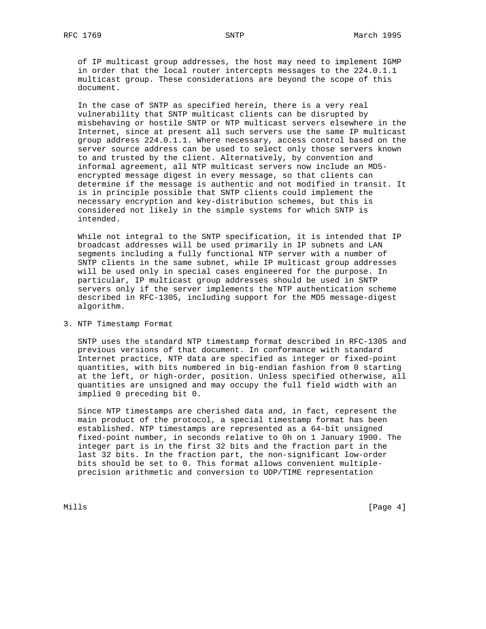of IP multicast group addresses, the host may need to implement IGMP in order that the local router intercepts messages to the 224.0.1.1 multicast group. These considerations are beyond the scope of this document.

 In the case of SNTP as specified herein, there is a very real vulnerability that SNTP multicast clients can be disrupted by misbehaving or hostile SNTP or NTP multicast servers elsewhere in the Internet, since at present all such servers use the same IP multicast group address 224.0.1.1. Where necessary, access control based on the server source address can be used to select only those servers known to and trusted by the client. Alternatively, by convention and informal agreement, all NTP multicast servers now include an MD5 encrypted message digest in every message, so that clients can determine if the message is authentic and not modified in transit. It is in principle possible that SNTP clients could implement the necessary encryption and key-distribution schemes, but this is considered not likely in the simple systems for which SNTP is intended.

 While not integral to the SNTP specification, it is intended that IP broadcast addresses will be used primarily in IP subnets and LAN segments including a fully functional NTP server with a number of SNTP clients in the same subnet, while IP multicast group addresses will be used only in special cases engineered for the purpose. In particular, IP multicast group addresses should be used in SNTP servers only if the server implements the NTP authentication scheme described in RFC-1305, including support for the MD5 message-digest algorithm.

## 3. NTP Timestamp Format

 SNTP uses the standard NTP timestamp format described in RFC-1305 and previous versions of that document. In conformance with standard Internet practice, NTP data are specified as integer or fixed-point quantities, with bits numbered in big-endian fashion from 0 starting at the left, or high-order, position. Unless specified otherwise, all quantities are unsigned and may occupy the full field width with an implied 0 preceding bit 0.

 Since NTP timestamps are cherished data and, in fact, represent the main product of the protocol, a special timestamp format has been established. NTP timestamps are represented as a 64-bit unsigned fixed-point number, in seconds relative to 0h on 1 January 1900. The integer part is in the first 32 bits and the fraction part in the last 32 bits. In the fraction part, the non-significant low-order bits should be set to 0. This format allows convenient multiple precision arithmetic and conversion to UDP/TIME representation

Mills [Page 4] [Page 4] [Page 4] [Page 4] [Page 4] [Page 4] [Page 4] [Page 4] [Page 4] [Page 4] [Page 4] [Page 4] [Page 4] [Page 4] [Page 4] [Page 4] [Page 4] [Page 4] [Page 4] [Page 4] [Page 4] [Page 4] [Page 4] [Page 4]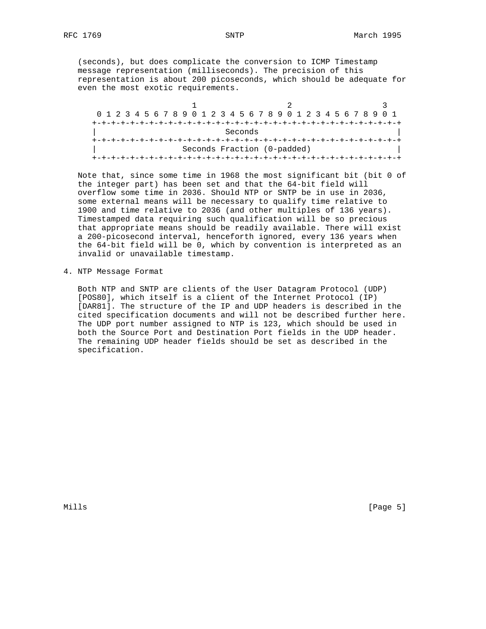(seconds), but does complicate the conversion to ICMP Timestamp message representation (milliseconds). The precision of this representation is about 200 picoseconds, which should be adequate for even the most exotic requirements.

|         |  |  |  |  |  |  |  |  |  |  |  |  |  |                             |  |  |  |  | 0 1 2 3 4 5 6 7 8 9 0 1 2 3 4 5 6 7 8 9 0 1 2 3 4 5 6 7 8 9 0 1 |  |  |
|---------|--|--|--|--|--|--|--|--|--|--|--|--|--|-----------------------------|--|--|--|--|-----------------------------------------------------------------|--|--|
|         |  |  |  |  |  |  |  |  |  |  |  |  |  |                             |  |  |  |  |                                                                 |  |  |
| Seconds |  |  |  |  |  |  |  |  |  |  |  |  |  |                             |  |  |  |  |                                                                 |  |  |
|         |  |  |  |  |  |  |  |  |  |  |  |  |  |                             |  |  |  |  |                                                                 |  |  |
|         |  |  |  |  |  |  |  |  |  |  |  |  |  | Seconds Fraction (0-padded) |  |  |  |  |                                                                 |  |  |
|         |  |  |  |  |  |  |  |  |  |  |  |  |  |                             |  |  |  |  |                                                                 |  |  |

 Note that, since some time in 1968 the most significant bit (bit 0 of the integer part) has been set and that the 64-bit field will overflow some time in 2036. Should NTP or SNTP be in use in 2036, some external means will be necessary to qualify time relative to 1900 and time relative to 2036 (and other multiples of 136 years). Timestamped data requiring such qualification will be so precious that appropriate means should be readily available. There will exist a 200-picosecond interval, henceforth ignored, every 136 years when the 64-bit field will be 0, which by convention is interpreted as an invalid or unavailable timestamp.

4. NTP Message Format

 Both NTP and SNTP are clients of the User Datagram Protocol (UDP) [POS80], which itself is a client of the Internet Protocol (IP) [DAR81]. The structure of the IP and UDP headers is described in the cited specification documents and will not be described further here. The UDP port number assigned to NTP is 123, which should be used in both the Source Port and Destination Port fields in the UDP header. The remaining UDP header fields should be set as described in the specification.

Mills [Page 5]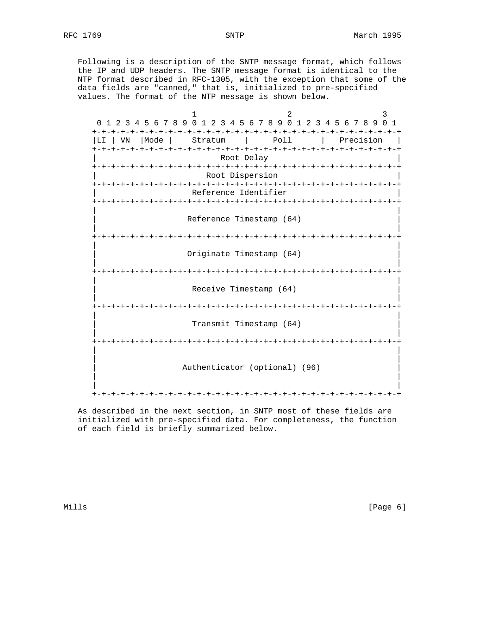Following is a description of the SNTP message format, which follows the IP and UDP headers. The SNTP message format is identical to the NTP format described in RFC-1305, with the exception that some of the data fields are "canned," that is, initialized to pre-specified values. The format of the NTP message is shown below.

| 0                   | 1 2 3 4 5 6 7 8 9 0 1 2 3 4 5 6 7 8 9 0 1 2 3 4 5 6 7 8 9 0 | 2                                    |  | 3<br>$\overline{1}$ |
|---------------------|-------------------------------------------------------------|--------------------------------------|--|---------------------|
| Mode<br>LI.<br>l VN | Stratum                                                     | Poll                                 |  | Precision           |
|                     |                                                             | Root Delay                           |  |                     |
|                     | Root Dispersion                                             |                                      |  |                     |
|                     | Reference Identifier                                        |                                      |  |                     |
|                     | Reference Timestamp (64)                                    |                                      |  |                     |
|                     | Originate Timestamp (64)                                    | -+-+-+-+-+-+-+-+-+-+-+-+-+-+-+-+-+-+ |  |                     |
|                     | -+-+-+-+-+-+-+-+-+-+-+-+-+-+-+-+-+-+-+-                     |                                      |  |                     |
|                     |                                                             | Receive Timestamp (64)               |  |                     |
|                     |                                                             | -+-+-+-+-+-+-+                       |  |                     |
|                     |                                                             | Transmit Timestamp (64)              |  |                     |
|                     |                                                             |                                      |  |                     |
|                     | Authenticator (optional) (96)                               |                                      |  |                     |
|                     | - + – + – + – + – + – +                                     | - + – + – + – + – + – +              |  |                     |

 As described in the next section, in SNTP most of these fields are initialized with pre-specified data. For completeness, the function of each field is briefly summarized below.

Mills [Page 6]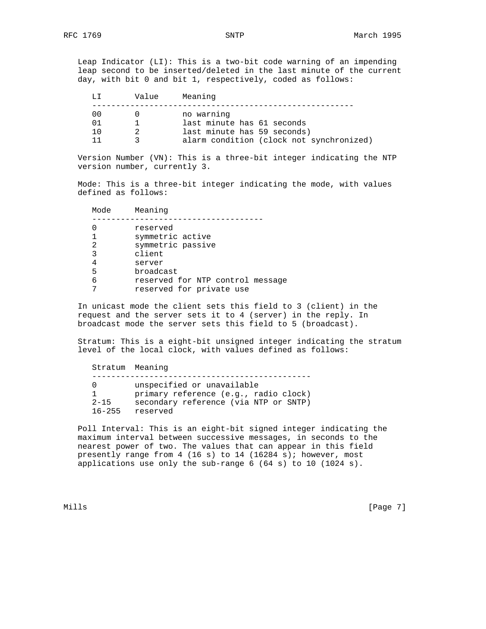Leap Indicator (LI): This is a two-bit code warning of an impending leap second to be inserted/deleted in the last minute of the current day, with bit 0 and bit 1, respectively, coded as follows:

|     | Value | Meaning                                                                 |
|-----|-------|-------------------------------------------------------------------------|
| 00  |       | no warning<br>last minute has 61 seconds                                |
| 1 ∩ |       | last minute has 59 seconds)<br>alarm condition (clock not synchronized) |

 Version Number (VN): This is a three-bit integer indicating the NTP version number, currently 3.

 Mode: This is a three-bit integer indicating the mode, with values defined as follows:

| Mode | Meaning                          |
|------|----------------------------------|
|      | reserved                         |
|      | symmetric active                 |
| 2    | symmetric passive                |
| 3    | client                           |
| 4    | server                           |
| 5    | broadcast                        |
| 6    | reserved for NTP control message |
|      | reserved for private use         |

 In unicast mode the client sets this field to 3 (client) in the request and the server sets it to 4 (server) in the reply. In broadcast mode the server sets this field to 5 (broadcast).

 Stratum: This is a eight-bit unsigned integer indicating the stratum level of the local clock, with values defined as follows:

 Stratum Meaning ---------------------------------------------- 0 unspecified or unavailable 1 primary reference (e.g., radio clock) 2-15 secondary reference (via NTP or SNTP) 16-255 reserved

 Poll Interval: This is an eight-bit signed integer indicating the maximum interval between successive messages, in seconds to the nearest power of two. The values that can appear in this field presently range from 4 (16 s) to 14 (16284 s); however, most applications use only the sub-range 6 (64 s) to 10 (1024 s).

Mills [Page 7]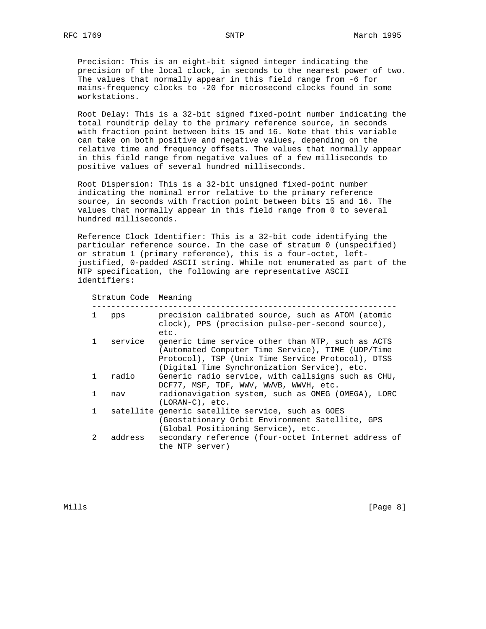Precision: This is an eight-bit signed integer indicating the precision of the local clock, in seconds to the nearest power of two. The values that normally appear in this field range from -6 for mains-frequency clocks to -20 for microsecond clocks found in some workstations.

 Root Delay: This is a 32-bit signed fixed-point number indicating the total roundtrip delay to the primary reference source, in seconds with fraction point between bits 15 and 16. Note that this variable can take on both positive and negative values, depending on the relative time and frequency offsets. The values that normally appear in this field range from negative values of a few milliseconds to positive values of several hundred milliseconds.

 Root Dispersion: This is a 32-bit unsigned fixed-point number indicating the nominal error relative to the primary reference source, in seconds with fraction point between bits 15 and 16. The values that normally appear in this field range from 0 to several hundred milliseconds.

 Reference Clock Identifier: This is a 32-bit code identifying the particular reference source. In the case of stratum 0 (unspecified) or stratum 1 (primary reference), this is a four-octet, left justified, 0-padded ASCII string. While not enumerated as part of the NTP specification, the following are representative ASCII identifiers:

```
 Stratum Code Meaning
```

| 1            | pps     | precision calibrated source, such as ATOM (atomic<br>clock), PPS (precision pulse-per-second source),<br>etc.                                                                                               |
|--------------|---------|-------------------------------------------------------------------------------------------------------------------------------------------------------------------------------------------------------------|
| $\mathbf{1}$ | service | generic time service other than NTP, such as ACTS<br>(Automated Computer Time Service), TIME (UDP/Time<br>Protocol), TSP (Unix Time Service Protocol), DTSS<br>(Digital Time Synchronization Service), etc. |
| $\mathbf{1}$ | radio   | Generic radio service, with callsigns such as CHU,<br>DCF77, MSF, TDF, WWV, WWVB, WWVH, etc.                                                                                                                |
| $\mathbf{1}$ | nav     | radionavigation system, such as OMEG (OMEGA), LORC<br>$(LORAN-C)$ , etc.                                                                                                                                    |
| $\mathbf{1}$ |         | satellite generic satellite service, such as GOES<br>(Geostationary Orbit Environment Satellite, GPS<br>(Global Positioning Service), etc.                                                                  |
| $2^{\circ}$  | address | secondary reference (four-octet Internet address of<br>the NTP server)                                                                                                                                      |

Mills **Example 20** (Page 8)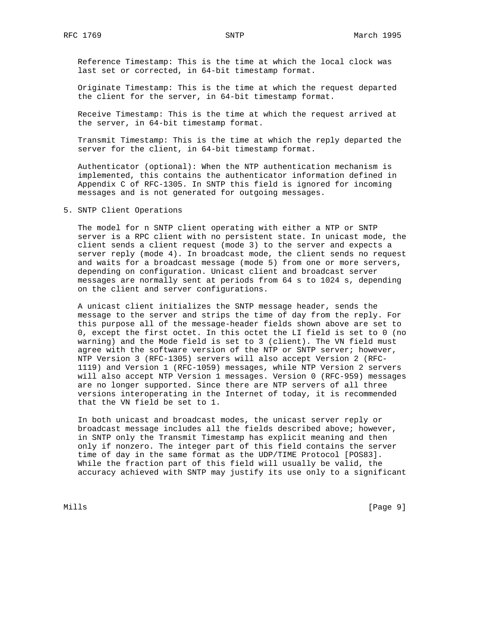Reference Timestamp: This is the time at which the local clock was last set or corrected, in 64-bit timestamp format.

 Originate Timestamp: This is the time at which the request departed the client for the server, in 64-bit timestamp format.

 Receive Timestamp: This is the time at which the request arrived at the server, in 64-bit timestamp format.

 Transmit Timestamp: This is the time at which the reply departed the server for the client, in 64-bit timestamp format.

 Authenticator (optional): When the NTP authentication mechanism is implemented, this contains the authenticator information defined in Appendix C of RFC-1305. In SNTP this field is ignored for incoming messages and is not generated for outgoing messages.

5. SNTP Client Operations

 The model for n SNTP client operating with either a NTP or SNTP server is a RPC client with no persistent state. In unicast mode, the client sends a client request (mode 3) to the server and expects a server reply (mode 4). In broadcast mode, the client sends no request and waits for a broadcast message (mode 5) from one or more servers, depending on configuration. Unicast client and broadcast server messages are normally sent at periods from 64 s to 1024 s, depending on the client and server configurations.

 A unicast client initializes the SNTP message header, sends the message to the server and strips the time of day from the reply. For this purpose all of the message-header fields shown above are set to 0, except the first octet. In this octet the LI field is set to 0 (no warning) and the Mode field is set to 3 (client). The VN field must agree with the software version of the NTP or SNTP server; however, NTP Version 3 (RFC-1305) servers will also accept Version 2 (RFC- 1119) and Version 1 (RFC-1059) messages, while NTP Version 2 servers will also accept NTP Version 1 messages. Version 0 (RFC-959) messages are no longer supported. Since there are NTP servers of all three versions interoperating in the Internet of today, it is recommended that the VN field be set to 1.

 In both unicast and broadcast modes, the unicast server reply or broadcast message includes all the fields described above; however, in SNTP only the Transmit Timestamp has explicit meaning and then only if nonzero. The integer part of this field contains the server time of day in the same format as the UDP/TIME Protocol [POS83]. While the fraction part of this field will usually be valid, the accuracy achieved with SNTP may justify its use only to a significant

Mills [Page 9]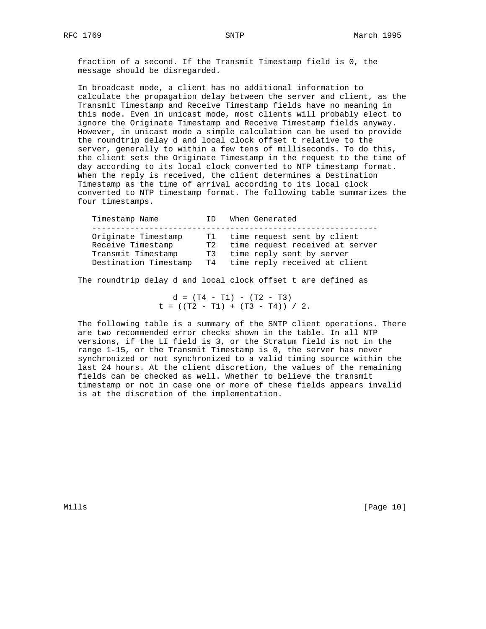fraction of a second. If the Transmit Timestamp field is 0, the message should be disregarded.

 In broadcast mode, a client has no additional information to calculate the propagation delay between the server and client, as the Transmit Timestamp and Receive Timestamp fields have no meaning in this mode. Even in unicast mode, most clients will probably elect to ignore the Originate Timestamp and Receive Timestamp fields anyway. However, in unicast mode a simple calculation can be used to provide the roundtrip delay d and local clock offset t relative to the server, generally to within a few tens of milliseconds. To do this, the client sets the Originate Timestamp in the request to the time of day according to its local clock converted to NTP timestamp format. When the reply is received, the client determines a Destination Timestamp as the time of arrival according to its local clock converted to NTP timestamp format. The following table summarizes the four timestamps.

| Timestamp Name                                                                          | TD         | When Generated                                                                                                                     |
|-----------------------------------------------------------------------------------------|------------|------------------------------------------------------------------------------------------------------------------------------------|
| Originate Timestamp<br>Receive Timestamp<br>Transmit Timestamp<br>Destination Timestamp | T1 T<br>T3 | time request sent by client<br>T2 time request received at server<br>time reply sent by server<br>T4 time reply received at client |

The roundtrip delay d and local clock offset t are defined as

 $d = (T4 - T1) - (T2 - T3)$  $t = ((T2 - T1) + (T3 - T4)) / 2.$ 

 The following table is a summary of the SNTP client operations. There are two recommended error checks shown in the table. In all NTP versions, if the LI field is 3, or the Stratum field is not in the range 1-15, or the Transmit Timestamp is 0, the server has never synchronized or not synchronized to a valid timing source within the last 24 hours. At the client discretion, the values of the remaining fields can be checked as well. Whether to believe the transmit timestamp or not in case one or more of these fields appears invalid is at the discretion of the implementation.

Mills [Page 10]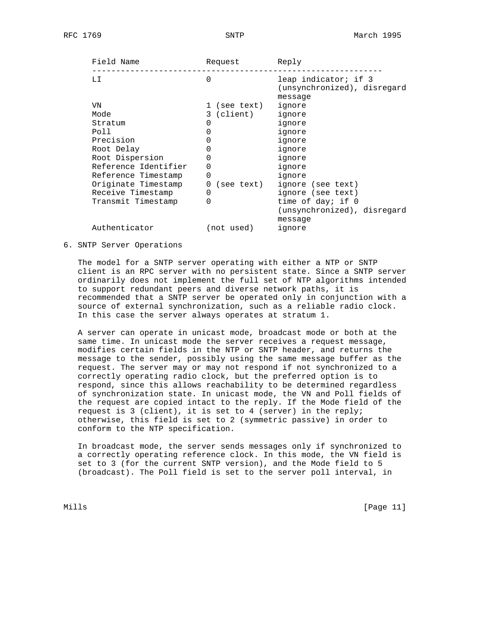| Field Name           | Request          | Reply                                                          |  |  |  |  |
|----------------------|------------------|----------------------------------------------------------------|--|--|--|--|
| LI                   | $\Omega$         | leap indicator; if 3<br>(unsynchronized), disregard<br>message |  |  |  |  |
| VN                   | 1 (see text)     | ignore                                                         |  |  |  |  |
| Mode                 | 3 (client)       | ignore                                                         |  |  |  |  |
| Stratum              | O                | ignore                                                         |  |  |  |  |
| Poll                 | $\Omega$         | ignore                                                         |  |  |  |  |
| Precision            |                  | ignore                                                         |  |  |  |  |
| Root Delay           | $\left( \right)$ | ignore                                                         |  |  |  |  |
| Root Dispersion      | 0                | ignore                                                         |  |  |  |  |
| Reference Identifier | 0                | ignore                                                         |  |  |  |  |
| Reference Timestamp  | 0                | ignore                                                         |  |  |  |  |
| Originate Timestamp  | 0<br>(see text)  | ignore (see text)                                              |  |  |  |  |
| Receive Timestamp    | 0                | ignore (see text)                                              |  |  |  |  |
| Transmit Timestamp   | 0                | time of day; if 0                                              |  |  |  |  |
|                      |                  | (unsynchronized), disregard                                    |  |  |  |  |
|                      |                  | message                                                        |  |  |  |  |
| Authenticator        | (not used)       | ignore                                                         |  |  |  |  |

6. SNTP Server Operations

 The model for a SNTP server operating with either a NTP or SNTP client is an RPC server with no persistent state. Since a SNTP server ordinarily does not implement the full set of NTP algorithms intended to support redundant peers and diverse network paths, it is recommended that a SNTP server be operated only in conjunction with a source of external synchronization, such as a reliable radio clock. In this case the server always operates at stratum 1.

 A server can operate in unicast mode, broadcast mode or both at the same time. In unicast mode the server receives a request message, modifies certain fields in the NTP or SNTP header, and returns the message to the sender, possibly using the same message buffer as the request. The server may or may not respond if not synchronized to a correctly operating radio clock, but the preferred option is to respond, since this allows reachability to be determined regardless of synchronization state. In unicast mode, the VN and Poll fields of the request are copied intact to the reply. If the Mode field of the request is 3 (client), it is set to 4 (server) in the reply; otherwise, this field is set to 2 (symmetric passive) in order to conform to the NTP specification.

 In broadcast mode, the server sends messages only if synchronized to a correctly operating reference clock. In this mode, the VN field is set to 3 (for the current SNTP version), and the Mode field to 5 (broadcast). The Poll field is set to the server poll interval, in

Mills [Page 11]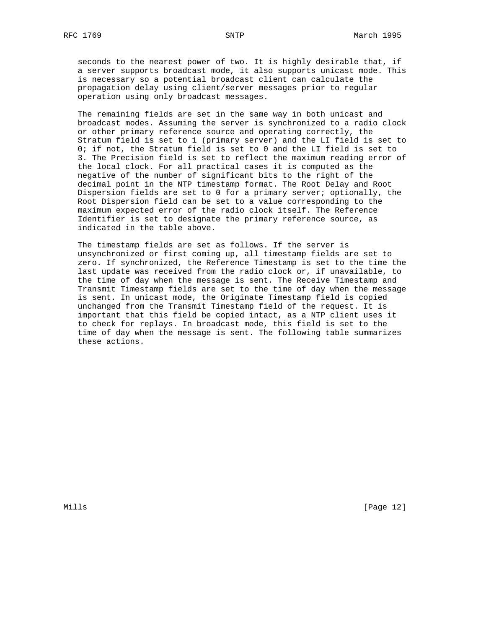seconds to the nearest power of two. It is highly desirable that, if a server supports broadcast mode, it also supports unicast mode. This is necessary so a potential broadcast client can calculate the propagation delay using client/server messages prior to regular operation using only broadcast messages.

 The remaining fields are set in the same way in both unicast and broadcast modes. Assuming the server is synchronized to a radio clock or other primary reference source and operating correctly, the Stratum field is set to 1 (primary server) and the LI field is set to 0; if not, the Stratum field is set to 0 and the LI field is set to 3. The Precision field is set to reflect the maximum reading error of the local clock. For all practical cases it is computed as the negative of the number of significant bits to the right of the decimal point in the NTP timestamp format. The Root Delay and Root Dispersion fields are set to 0 for a primary server; optionally, the Root Dispersion field can be set to a value corresponding to the maximum expected error of the radio clock itself. The Reference Identifier is set to designate the primary reference source, as indicated in the table above.

 The timestamp fields are set as follows. If the server is unsynchronized or first coming up, all timestamp fields are set to zero. If synchronized, the Reference Timestamp is set to the time the last update was received from the radio clock or, if unavailable, to the time of day when the message is sent. The Receive Timestamp and Transmit Timestamp fields are set to the time of day when the message is sent. In unicast mode, the Originate Timestamp field is copied unchanged from the Transmit Timestamp field of the request. It is important that this field be copied intact, as a NTP client uses it to check for replays. In broadcast mode, this field is set to the time of day when the message is sent. The following table summarizes these actions.

Mills [Page 12]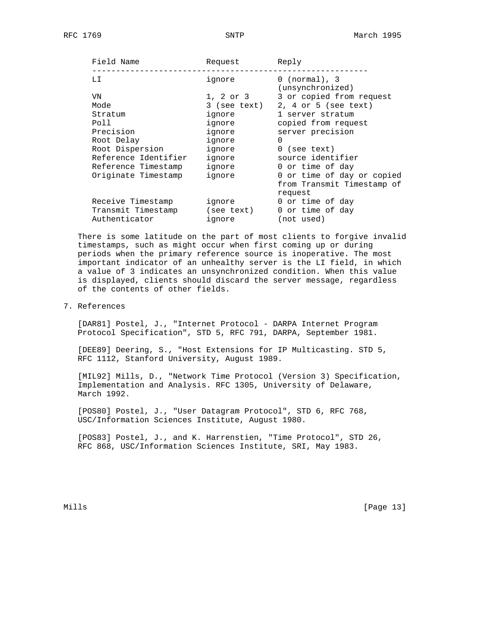| Field Name           | Request      | Reply                                        |
|----------------------|--------------|----------------------------------------------|
| LI                   | ignore       | $0 \text{ (normal)}$ , 3<br>(unsynchronized) |
| VN                   | 1, 2 or 3    | 3 or copied from request                     |
| Mode                 | 3 (see text) | $2, 4$ or 5 (see text)                       |
| Stratum              | ignore       | 1 server stratum                             |
| Poll                 | ignore       | copied from request                          |
| Precision            | ignore       | server precision                             |
| Root Delay           | ignore       | $\Omega$                                     |
| Root Dispersion      | ignore       | $0$ (see text)                               |
| Reference Identifier | ignore       | source identifier                            |
| Reference Timestamp  | ignore       | 0 or time of day                             |
| Originate Timestamp  | ignore       | 0 or time of day or copied                   |
|                      |              | from Transmit Timestamp of                   |
|                      |              | request                                      |
| Receive Timestamp    | ignore       | 0 or time of day                             |
| Transmit Timestamp   | (see text)   | 0 or time of day                             |
| Authenticator        | ignore       | (not used)                                   |
|                      |              |                                              |

 There is some latitude on the part of most clients to forgive invalid timestamps, such as might occur when first coming up or during periods when the primary reference source is inoperative. The most important indicator of an unhealthy server is the LI field, in which a value of 3 indicates an unsynchronized condition. When this value is displayed, clients should discard the server message, regardless of the contents of other fields.

# 7. References

 [DAR81] Postel, J., "Internet Protocol - DARPA Internet Program Protocol Specification", STD 5, RFC 791, DARPA, September 1981.

 [DEE89] Deering, S., "Host Extensions for IP Multicasting. STD 5, RFC 1112, Stanford University, August 1989.

 [MIL92] Mills, D., "Network Time Protocol (Version 3) Specification, Implementation and Analysis. RFC 1305, University of Delaware, March 1992.

 [POS80] Postel, J., "User Datagram Protocol", STD 6, RFC 768, USC/Information Sciences Institute, August 1980.

 [POS83] Postel, J., and K. Harrenstien, "Time Protocol", STD 26, RFC 868, USC/Information Sciences Institute, SRI, May 1983.

Mills [Page 13]